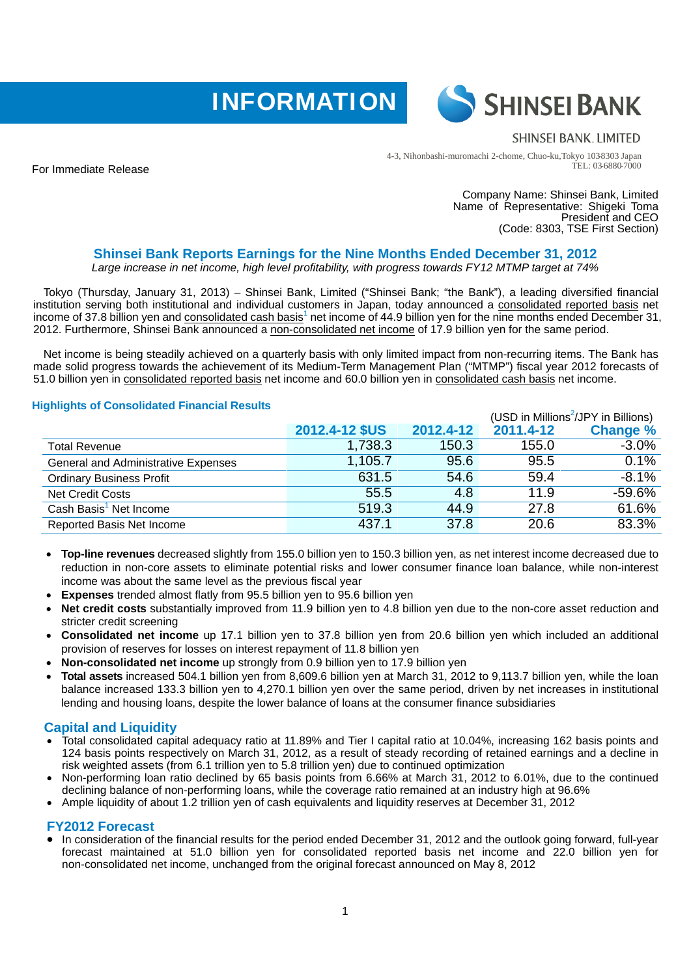



### **SHINSEI BANK, LIMITED**

4-3, Nihonbashi-muromachi 2-chome, Chuo-ku,Tokyo 103-8303 Japan TEL: 03-6880-7000

For Immediate Release

Company Name: Shinsei Bank, Limited Name of Representative: Shigeki Toma President and CEO (Code: 8303, TSE First Section)

# **Shinsei Bank Reports Earnings for the Nine Months Ended December 31, 2012**

*Large increase in net income, high level profitability, with progress towards FY12 MTMP target at 74%* 

Tokyo (Thursday, January 31, 2013) – Shinsei Bank, Limited ("Shinsei Bank; "the Bank"), a leading diversified financial institution serving both institutional and individual customers in Japan, today announced a consolidated reported basis net income of 37.8 billion yen and consolidated cash basis<sup>1</sup> net income of 44.9 billion yen for the nine months ended December 31, 2012. Furthermore, Shinsei Bank announced a non-consolidated net income of 17.9 billion yen for the same period.

Net income is being steadily achieved on a quarterly basis with only limited impact from non-recurring items. The Bank has made solid progress towards the achievement of its Medium-Term Management Plan ("MTMP") fiscal year 2012 forecasts of 51.0 billion yen in consolidated reported basis net income and 60.0 billion yen in consolidated cash basis net income.

# **Highlights of Consolidated Financial Results**

|                                            |                |           | (USD in Millions <sup>2</sup> /JPY in Billions) |                 |
|--------------------------------------------|----------------|-----------|-------------------------------------------------|-----------------|
|                                            | 2012.4-12 \$US | 2012.4-12 | 2011.4-12                                       | <b>Change %</b> |
| <b>Total Revenue</b>                       | 1,738.3        | 150.3     | 155.0                                           | $-3.0%$         |
| <b>General and Administrative Expenses</b> | 1,105.7        | 95.6      | 95.5                                            | 0.1%            |
| <b>Ordinary Business Profit</b>            | 631.5          | 54.6      | 59.4                                            | $-8.1%$         |
| <b>Net Credit Costs</b>                    | 55.5           | 4.8       | 11.9                                            | $-59.6%$        |
| Cash Basis <sup>1</sup> Net Income         | 519.3          | 44.9      | 27.8                                            | 61.6%           |
| Reported Basis Net Income                  | 437.1          | 37.8      | 20.6                                            | 83.3%           |

- **Top-line revenues** decreased slightly from 155.0 billion yen to 150.3 billion yen, as net interest income decreased due to reduction in non-core assets to eliminate potential risks and lower consumer finance loan balance, while non-interest income was about the same level as the previous fiscal year
- **Expenses** trended almost flatly from 95.5 billion yen to 95.6 billion yen
- **Net credit costs** substantially improved from 11.9 billion yen to 4.8 billion yen due to the non-core asset reduction and stricter credit screening
- **Consolidated net income** up 17.1 billion yen to 37.8 billion yen from 20.6 billion yen which included an additional provision of reserves for losses on interest repayment of 11.8 billion yen
- **Non-consolidated net income** up strongly from 0.9 billion yen to 17.9 billion yen
- **Total assets** increased 504.1 billion yen from 8,609.6 billion yen at March 31, 2012 to 9,113.7 billion yen, while the loan balance increased 133.3 billion yen to 4,270.1 billion yen over the same period, driven by net increases in institutional lending and housing loans, despite the lower balance of loans at the consumer finance subsidiaries

# **Capital and Liquidity**

- Total consolidated capital adequacy ratio at 11.89% and Tier I capital ratio at 10.04%, increasing 162 basis points and 124 basis points respectively on March 31, 2012, as a result of steady recording of retained earnings and a decline in risk weighted assets (from 6.1 trillion yen to 5.8 trillion yen) due to continued optimization
- Non-performing loan ratio declined by 65 basis points from 6.66% at March 31, 2012 to 6.01%, due to the continued declining balance of non-performing loans, while the coverage ratio remained at an industry high at 96.6%
- Ample liquidity of about 1.2 trillion yen of cash equivalents and liquidity reserves at December 31, 2012

#### **FY2012 Forecast**

• In consideration of the financial results for the period ended December 31, 2012 and the outlook going forward, full-year forecast maintained at 51.0 billion yen for consolidated reported basis net income and 22.0 billion yen for non-consolidated net income, unchanged from the original forecast announced on May 8, 2012